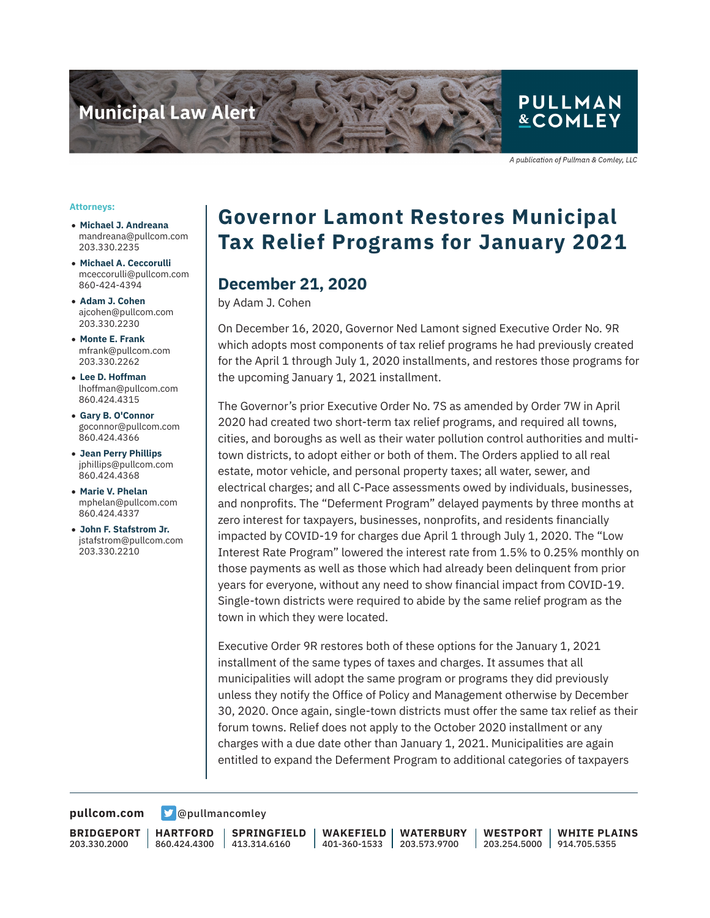

## **PULLMAN &COMLEY**

A publication of Pullman & Comley, LLC

#### **Attorneys:**

- **Michael J. Andreana** mandreana@pullcom.com 203.330.2235
- **Michael A. Ceccorulli** mceccorulli@pullcom.com 860-424-4394
- **Adam J. Cohen** ajcohen@pullcom.com 203.330.2230
- **Monte E. Frank** mfrank@pullcom.com 203.330.2262
- **Lee D. Hoffman** lhoffman@pullcom.com 860.424.4315
- **Gary B. O'Connor** goconnor@pullcom.com 860.424.4366
- **Jean Perry Phillips** jphillips@pullcom.com 860.424.4368
- **Marie V. Phelan** mphelan@pullcom.com 860.424.4337
- **John F. Stafstrom Jr.** jstafstrom@pullcom.com 203.330.2210

# **Governor Lamont Restores Municipal Tax Relief Programs for January 2021**

### **December 21, 2020**

by Adam J. Cohen

On December 16, 2020, Governor Ned Lamont signed Executive Order No. 9R which adopts most components of tax relief programs he had previously created for the April 1 through July 1, 2020 installments, and restores those programs for the upcoming January 1, 2021 installment.

The Governor's prior Executive Order No. 7S as amended by Order 7W in April 2020 had created two short-term tax relief programs, and required all towns, cities, and boroughs as well as their water pollution control authorities and multitown districts, to adopt either or both of them. The Orders applied to all real estate, motor vehicle, and personal property taxes; all water, sewer, and electrical charges; and all C-Pace assessments owed by individuals, businesses, and nonprofits. The "Deferment Program" delayed payments by three months at zero interest for taxpayers, businesses, nonprofits, and residents financially impacted by COVID-19 for charges due April 1 through July 1, 2020. The "Low Interest Rate Program" lowered the interest rate from 1.5% to 0.25% monthly on those payments as well as those which had already been delinquent from prior years for everyone, without any need to show financial impact from COVID-19. Single-town districts were required to abide by the same relief program as the town in which they were located.

Executive Order 9R restores both of these options for the January 1, 2021 installment of the same types of taxes and charges. It assumes that all municipalities will adopt the same program or programs they did previously unless they notify the Office of Policy and Management otherwise by December 30, 2020. Once again, single-town districts must offer the same tax relief as their forum towns. Relief does not apply to the October 2020 installment or any charges with a due date other than January 1, 2021. Municipalities are again entitled to expand the Deferment Program to additional categories of taxpayers

**[pullcom.com](https://www.pullcom.com) g** [@pullmancomley](https://twitter.com/PullmanComley)

**BRIDGEPORT** 203.330.2000

**HARTFORD** 860.424.4300

**SPRINGFIELD** 413.314.6160

**WAKEFIELD** 401-360-1533 203.573.9700 **WATERBURY**

**WESTPORT** 203.254.5000 914.705.5355 **WHITE PLAINS**